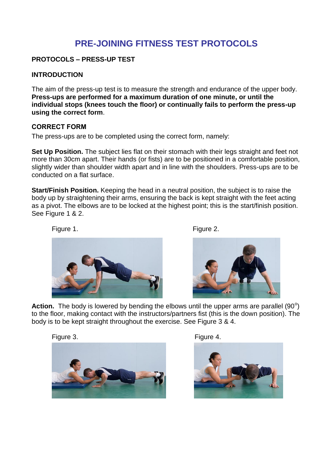# **PRE-JOINING FITNESS TEST PROTOCOLS**

## **PROTOCOLS – PRESS-UP TEST**

### **INTRODUCTION**

The aim of the press-up test is to measure the strength and endurance of the upper body. **Press-ups are performed for a maximum duration of one minute, or until the individual stops (knees touch the floor) or continually fails to perform the press-up using the correct form**.

#### **CORRECT FORM**

The press-ups are to be completed using the correct form, namely:

**Set Up Position.** The subject lies flat on their stomach with their legs straight and feet not more than 30cm apart. Their hands (or fists) are to be positioned in a comfortable position, slightly wider than shoulder width apart and in line with the shoulders. Press-ups are to be conducted on a flat surface.

**Start/Finish Position.** Keeping the head in a neutral position, the subject is to raise the body up by straightening their arms, ensuring the back is kept straight with the feet acting as a pivot. The elbows are to be locked at the highest point; this is the start/finish position. See Figure 1 & 2.

Figure 1. **Figure 1.** Figure 2.





Action. The body is lowered by bending the elbows until the upper arms are parallel (90<sup>o</sup>) to the floor, making contact with the instructors/partners fist (this is the down position). The body is to be kept straight throughout the exercise. See Figure 3 & 4.





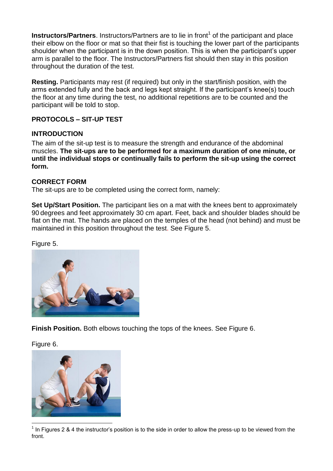**Instructors/Partners**. Instructors/Partners are to lie in front<sup>1</sup> of the participant and place their elbow on the floor or mat so that their fist is touching the lower part of the participants shoulder when the participant is in the down position. This is when the participant's upper arm is parallel to the floor. The Instructors/Partners fist should then stay in this position throughout the duration of the test.

**Resting.** Participants may rest (if required) but only in the start/finish position, with the arms extended fully and the back and legs kept straight. If the participant's knee(s) touch the floor at any time during the test, no additional repetitions are to be counted and the participant will be told to stop.

# **PROTOCOLS – SIT-UP TEST**

## **INTRODUCTION**

The aim of the sit-up test is to measure the strength and endurance of the abdominal muscles. **The sit-ups are to be performed for a maximum duration of one minute, or until the individual stops or continually fails to perform the sit-up using the correct form.**

### **CORRECT FORM**

The sit-ups are to be completed using the correct form, namely:

**Set Up/Start Position.** The participant lies on a mat with the knees bent to approximately 90 degrees and feet approximately 30 cm apart. Feet, back and shoulder blades should be flat on the mat. The hands are placed on the temples of the head (not behind) and must be maintained in this position throughout the test. See Figure 5.

#### Figure 5.



**Finish Position.** Both elbows touching the tops of the knees. See Figure 6.

Figure 6.



1 In Figures 2 & 4 the instructor's position is to the side in order to allow the press-up to be viewed from the front.